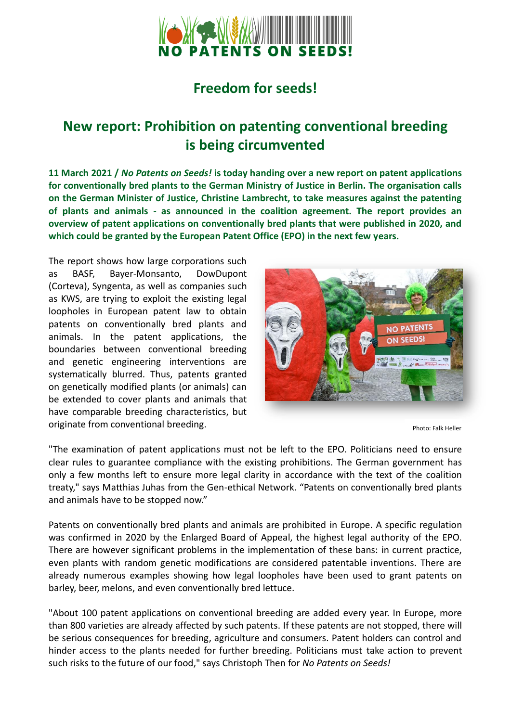

## **Freedom for seeds!**

# **New report: Prohibition on patenting conventional breeding is being circumvented**

**11 March 2021 /** *No Patents on Seeds!* **is today handing over a new report on patent applications for conventionally bred plants to the German Ministry of Justice in Berlin. The organisation calls on the German Minister of Justice, Christine Lambrecht, to take measures against the patenting of plants and animals - as announced in the coalition agreement. The report provides an overview of patent applications on conventionally bred plants that were published in 2020, and which could be granted by the European Patent Office (EPO) in the next few years.** 

The report shows how large corporations such as BASF, Bayer-Monsanto, DowDupont (Corteva), Syngenta, as well as companies such as KWS, are trying to exploit the existing legal loopholes in European patent law to obtain patents on conventionally bred plants and animals. In the patent applications, the boundaries between conventional breeding and genetic engineering interventions are systematically blurred. Thus, patents granted on genetically modified plants (or animals) can be extended to cover plants and animals that have comparable breeding characteristics, but originate from conventional breeding.



Photo: Falk Heller

"The examination of patent applications must not be left to the EPO. Politicians need to ensure clear rules to guarantee compliance with the existing prohibitions. The German government has only a few months left to ensure more legal clarity in accordance with the text of the coalition treaty," says Matthias Juhas from the Gen-ethical Network. "Patents on conventionally bred plants and animals have to be stopped now."

Patents on conventionally bred plants and animals are prohibited in Europe. A specific regulation was confirmed in 2020 by the Enlarged Board of Appeal, the highest legal authority of the EPO. There are however significant problems in the implementation of these bans: in current practice, even plants with random genetic modifications are considered patentable inventions. There are already numerous examples showing how legal loopholes have been used to grant patents on barley, beer, melons, and even conventionally bred lettuce.

"About 100 patent applications on conventional breeding are added every year. In Europe, more than 800 varieties are already affected by such patents. If these patents are not stopped, there will be serious consequences for breeding, agriculture and consumers. Patent holders can control and hinder access to the plants needed for further breeding. Politicians must take action to prevent such risks to the future of our food," says Christoph Then for *No Patents on Seeds!*